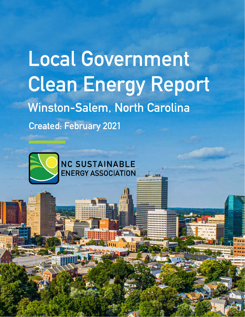## **Local Government Clean Energy Report Winston-Salem, North Carolina Created: February 2021**



**1 Local Government Clean Energy Report - Winston-Salem, North Carolina**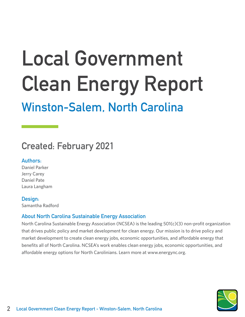# **Local Government Clean Energy Report**

### **Winston-Salem, North Carolina**

### **Created: February 2021**

#### **Authors:**

Daniel Parker Jerry Carey Daniel Pate Laura Langham

#### **Design:**

Samantha Radford

#### **About North Carolina Sustainable Energy Association**

North Carolina Sustainable Energy Association (NCSEA) is the leading 501(c)(3) non-profit organization that drives public policy and market development for clean energy. Our mission is to drive policy and market development to create clean energy jobs, economic opportunities, and affordable energy that benefits all of North Carolina. NCSEA's work enables clean energy jobs, economic opportunities, and affordable energy options for North Carolinians. Learn more at www.energync.org.

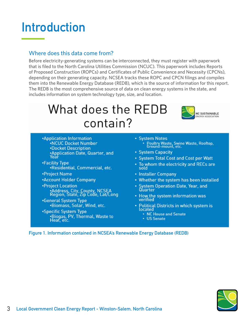### **Introduction**

#### Where does this data come from?

Before electricity-generating systems can be interconnected, they must register with paperwork that is filed to the North Carolina Utilities Commission (NCUC). This paperwork includes Reports of Proposed Construction (ROPCs) and Certificates of Public Convenience and Necessity (CPCNs), depending on their generating capacity. NCSEA tracks these ROPC and CPCN filings and compiles them into the Renewable Energy Database (REDB), which is the source of information for this report. The REDB is the most comprehensive source of data on clean energy systems in the state, and includes information on system technology type, size, and location.

### What does the REDB contain?



- **\*Application Information .NCUC Docket Number •Docket Description** •Application Date, Quarter, and<br>Year
- •Facility Type ·Residential, Commercial, etc.
- •Project Name
- \*Account Holder Company
- **•Project Location** .<br>• Address, City, County, NCSEA<br>Region, State, Zip Code, Lat/Long
- •General System Type .Biomass, Solar, Wind, etc.
- \*Specific System Type .Biogas, PV, Thermal, Waste to Heat, etc.
- System Notes Poultry Waste, Swine Waste, Rooftop,
- System Capacity
- System Total Cost and Cost per Watt
- . To whom the electricity and RECs are sold
- Installer Company
- Whether the system has been installed
- System Operation Date, Year, and Quarter
- . How the system information was verified
- Political Districts in which system is located
	- NC House and Senate
	- US Senate

**Figure 1. Information contained in NCSEA's Renewable Energy Database (REDB)**

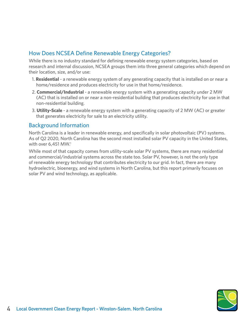#### How Does NCSEA Define Renewable Energy Categories?

While there is no industry standard for defining renewable energy system categories, based on research and internal discussion, NCSEA groups them into three general categories which depend on their location, size, and/or use:

- 1. **Residential** a renewable energy system of any generating capacity that is installed on or near a home/residence and produces electricity for use in that home/residence.
- 2. **Commercial/Industrial** a renewable energy system with a generating capacity under 2 MW (AC) that is installed on or near a non-residential building that produces electricity for use in that non-residential building.
- 3. **Utility-Scale** a renewable energy system with a generating capacity of 2 MW (AC) or greater that generates electricity for sale to an electricity utility.

#### Background Information

North Carolina is a leader in renewable energy, and specifically in solar photovoltaic (PV) systems. As of Q2 2020, North Carolina has the second most installed solar PV capacity in the United States, with over 6,451 MW.<sup>1</sup>

While most of that capacity comes from utility-scale solar PV systems, there are many residential and commercial/industrial systems across the state too. Solar PV, however, is not the only type of renewable energy technology that contributes electricity to our grid. In fact, there are many hydroelectric, bioenergy, and wind systems in North Carolina, but this report primarily focuses on solar PV and wind technology, as applicable.

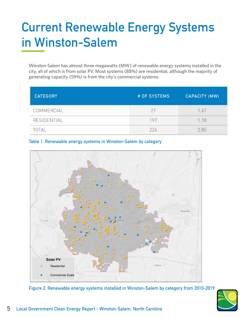### **Current Renewable Energy Systems in Winston-Salem**

Winston-Salem has almost three megawatts (MW) of renewable energy systems installed in the city, all of which is from solar PV. Most systems (88%) are residential, although the majority of generating capacity (59%) is from the city's commercial systems.

| <b>CATEGORY</b> | # OF SYSTEMS | <b>CAPACITY (MW)</b> |
|-----------------|--------------|----------------------|
| COMMERCIAL      |              | .67                  |
| RESIDENTIAL     | 197          | .18                  |
| TOTAL           | 224          | 2.85                 |







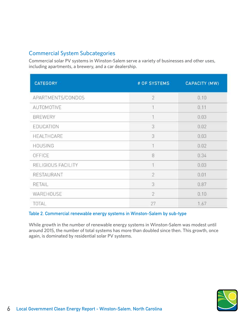#### Commercial System Subcategories

Commercial solar PV systems in Winston-Salem serve a variety of businesses and other uses, including apartments, a brewery, and a car dealership.

| <b>CATEGORY</b>    | # OF SYSTEMS   | <b>CAPACITY (MW)</b> |
|--------------------|----------------|----------------------|
| APARTMENTS/CONDOS  | $\overline{2}$ | 0.10                 |
| AUTOMOTIVE         | $\overline{1}$ | 0.11                 |
| <b>BREWERY</b>     | 1              | 0.03                 |
| EDUCATION          | 3              | 0.02                 |
| HEALTHCARE         | 3              | 0.03                 |
| <b>HOUSING</b>     | $\overline{1}$ | 0.02                 |
| OFFICE             | 8              | 0.34                 |
| RELIGIOUS FACILITY | $\overline{1}$ | 0.03                 |
| RESTAURANT         | $\overline{2}$ | 0.01                 |
| RETAIL             | 3              | 0.87                 |
| WAREHOUSE          | $\overline{2}$ | 0.10                 |
| TOTAL              | 27             | 1.67                 |

#### **Table 2. Commercial renewable energy systems in Winston-Salem by sub-type**

While growth in the number of renewable energy systems in Winston-Salem was modest until around 2015, the number of total systems has more than doubled since then. This growth, once again, is dominated by residential solar PV systems.

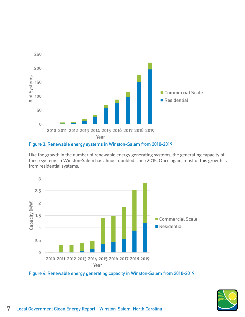

#### **Figure 3. Renewable energy systems in Winston-Salem from 2010-2019**

Like the growth in the number of renewable energy generating systems, the generating capacity of these systems in Winston-Salem has almost doubled since 2015. Once again, most of this growth is from residential systems.





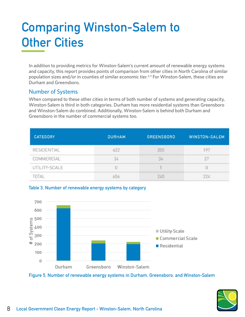### **Comparing Winston-Salem to Other Cities**

In addition to providing metrics for Winston-Salem's current amount of renewable energy systems and capacity, this report provides points of comparison from other cities in North Carolina of similar population sizes and/or in counties of similar economic tier.<sup>2,3</sup> For Winston-Salem, these cities are Durham and Greensboro.

#### Number of Systems

When compared to these other cities in terms of both number of systems and generating capacity, Winston-Salem is third in both categories. Durham has more residential systems than Greensboro and Winston-Salem do combined. Additionally, Winston-Salem is behind both Durham and Greensboro in the number of commercial systems too.

| <b>CATEGORY</b> | <b>DURHAM</b> | <b>GREENSBORO</b> | <b>WINSTON-SALEM</b> |
|-----------------|---------------|-------------------|----------------------|
| RESIDENTIAL     | 622           | 205               | 197                  |
| COMMERCIAL      | 34            | 34                | 27                   |
| UTILITY-SCALE   |               |                   |                      |
| TOTAL           | 656           | 240               | 224                  |





**Figure 5. Number of renewable energy systems in Durham, Greensboro, and Winston-Salem**

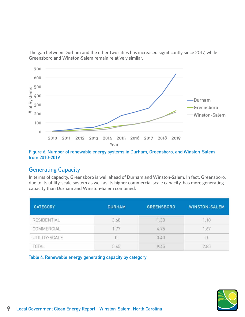The gap between Durham and the other two cities has increased significantly since 2017, while Greensboro and Winston-Salem remain relatively similar.



#### **Figure 6. Number of renewable energy systems in Durham, Greensboro, and Winston-Salem from 2010-2019**

#### Generating Capacity

In terms of capacity, Greensboro is well ahead of Durham and Winston-Salem. In fact, Greensboro, due to its utility-scale system as well as its higher commercial scale capacity, has more generating capacity than Durham and Winston-Salem combined.

| <b>CATEGORY</b> | <b>DURHAM</b> | <b>GREENSBORO</b> | <b>WINSTON-SALEM</b> |
|-----------------|---------------|-------------------|----------------------|
| RESIDENTIAL     | 3.68          | 1.30              | 1.18                 |
| COMMERCIAL      | 1.77          | 4.75              | 1.67                 |
| UTILITY-SCALE   | Ū             | 3.40              | $\theta$             |
| TOTAL           | 5.45          | 9.45              | 2.85                 |

**Table 4. Renewable energy generating capacity by category**

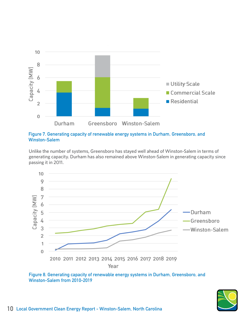

**Figure 7. Generating capacity of renewable energy systems in Durham, Greensboro, and Winston-Salem**

Unlike the number of systems, Greensboro has stayed well ahead of Winston-Salem in terms of generating capacity. Durham has also remained above Winston-Salem in generating capacity since passing it in 2011.



**Figure 8. Generating capacity of renewable energy systems in Durham, Greensboro, and Winston-Salem from 2010-2019**

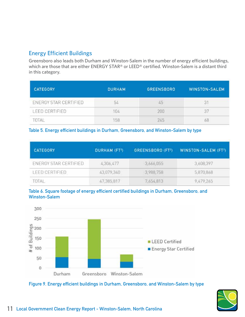#### Energy Efficient Buildings

Greensboro also leads both Durham and Winston-Salem in the number of energy efficient buildings, which are those that are either ENERGY STAR® or LEED® certified. Winston-Salem is a distant third in this category.

| <b>CATEGORY</b>       | <b>DURHAM</b> | <b>GREENSBORO</b> | <b>WINSTON-SALEM</b> |
|-----------------------|---------------|-------------------|----------------------|
| ENERGY STAR CERTIFIED | 54            | 45                | 3                    |
| LEED CERTIFIED        | 104           | 200               | 37                   |
|                       | 158           | 245               | 68                   |

#### **Table 5. Energy efficient buildings in Durham, Greensboro, and Winston-Salem by type**

| <b>CATEGORY</b>       | <b>DURHAM (FT2)</b> | GREENSBORO (FT <sup>2</sup> ) | <b>WINSTON-SALEM (FT2)</b> |
|-----------------------|---------------------|-------------------------------|----------------------------|
| ENERGY STAR CERTIFIED | 4,306,477           | 3,666,055                     | 3,608,397                  |
| LEED CERTIFIED        | 43,079,340          | 3,988,758                     | 5,870,868                  |
| TOTAL                 | 47,385,817          | 7,654,813                     | 9,479,265                  |





**Figure 9. Energy efficient buildings in Durham, Greensboro, and Winston-Salem by type**

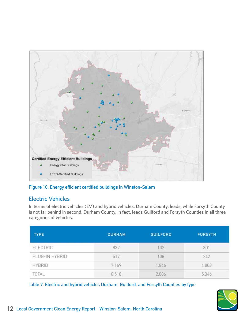

**Figure 10. Energy efficient certified buildings in Winston-Salem**

#### Electric Vehicles

In terms of electric vehicles (EV) and hybrid vehicles, Durham County, leads, while Forsyth County is not far behind in second. Durham County, in fact, leads Guilford and Forsyth Counties in all three categories of vehicles.

| <b>TYPE</b>     | <b>DURHAM</b> | <b>GUILFORD</b> | <b>FORSYTH</b> |
|-----------------|---------------|-----------------|----------------|
| <b>ELECTRIC</b> | 832           | 132             | 301            |
| PLUG-IN HYBRID  | 517           | 108             | 242            |
| <b>HYBRID</b>   | 7,169         | 1,846           | 4,803          |
| TOTAL           | 8,518         | 2,086           | 5,346          |

**Table 7. Electric and hybrid vehicles Durham, Guilford, and Forsyth Counties by type**

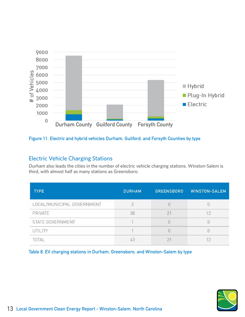

#### **Figure 11. Electric and hybrid vehicles Durham, Guilford, and Forsyth Counties by type**

#### Electric Vehicle Charging Stations

Durham also leads the cities in the number of electric vehicle charging stations. Winston-Salem is third, with almost half as many stations as Greensboro.

| <b>TYPE</b>                | <b>DURHAM</b> | <b>GREENSBORO</b> | <b>WINSTON-SALEM</b> |
|----------------------------|---------------|-------------------|----------------------|
| LOCAL/MUNICIPAL GOVERNMENT |               |                   |                      |
| PRIVATE                    | 38            | $2^{\circ}$       |                      |
| STATE GOVERNMENT           |               | $\theta$          |                      |
| UTILITY                    |               | U                 |                      |
| <b>OTAL</b>                | 43            | $\overline{2}$    |                      |

**Table 8. EV charging stations in Durham, Greensboro, and Winston-Salem by type**

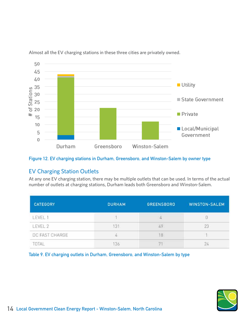

Almost all the EV charging stations in these three cities are privately owned.

**Figure 12. EV charging stations in Durham, Greensboro, and Winston-Salem by owner type**

#### EV Charging Station Outlets

At any one EV charging station, there may be multiple outlets that can be used. In terms of the actual number of outlets at charging stations, Durham leads both Greensboro and Winston-Salem.

| <b>CATEGORY</b> | <b>DURHAM</b> | <b>GREENSBORO</b> | <b>WINSTON-SALEM</b> |
|-----------------|---------------|-------------------|----------------------|
| LEVEL 1         |               |                   |                      |
| LEVEL 2         | 131           | 49                | $\overline{23}$      |
| DC FAST CHARGE  | 4             | 18                |                      |
| TOTAL           | 136           | $+4$              | 24                   |

**Table 9. EV charging outlets in Durham, Greensboro, and Winston-Salem by type**

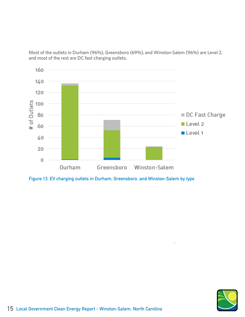Most of the outlets in Durham (96%), Greensboro (69%), and Winston-Salem (96%) are Level 2, and most of the rest are DC fast charging outlets.



**Figure 13. EV charging outlets in Durham, Greensboro, and Winston-Salem by type**